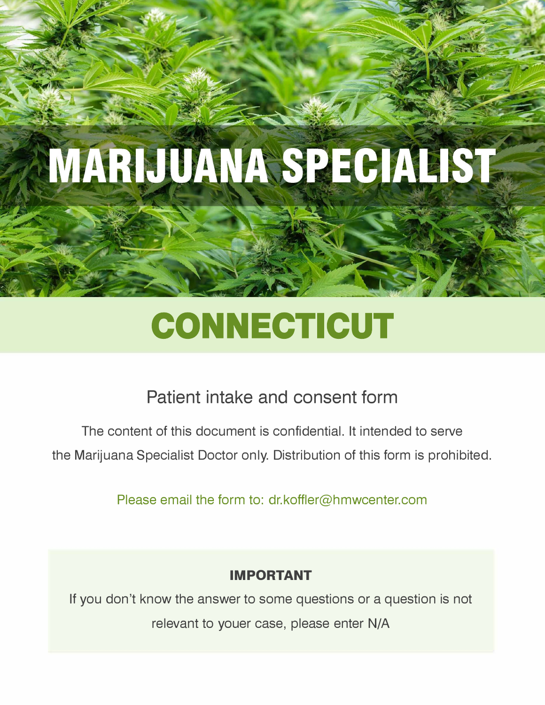# **MARIJUANA SPECIALIST**

# CONNECTICUT

## **Patient intake and consent form**

The content of this document is confidential. It intended to serve the Marijuana Specialist Doctor only. Distribution of this form is prohibited.

Please email the form to: dr.koffler@hmwcenter.com

### **IMPORTANT**

If you don't know the answer to some questions or a question is not relevant to youer case, please enter N/A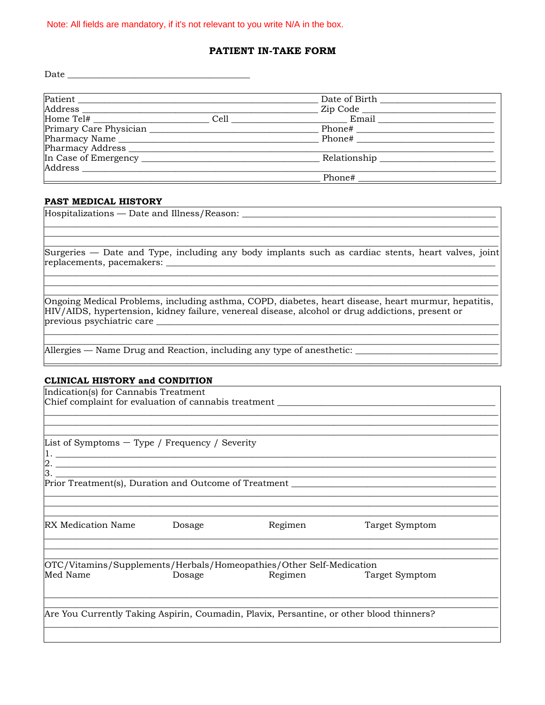#### Note: All fields are mandatory, if it's not relevant to you write N/A in the box.

#### PATIENT IN-TAKE FORM

Date  $\overline{\phantom{a}}$ 

| Patient                |      | Date of Birth Date of Birth |  |
|------------------------|------|-----------------------------|--|
|                        |      | Zip Code                    |  |
| $\text{Home Tel#}$     | Cell | Email                       |  |
| Primary Care Physician |      | Phone#                      |  |
| Pharmacy Name          |      | Phone#                      |  |
|                        |      |                             |  |
| In Case of Emergency   |      | Relationship                |  |
| Address                |      |                             |  |
|                        |      | Phone#                      |  |

#### **PAST MEDICAL HISTORY**

| Hospitalizations — Date and Illness/Reason: ____                                                                                                                                                                                     |
|--------------------------------------------------------------------------------------------------------------------------------------------------------------------------------------------------------------------------------------|
|                                                                                                                                                                                                                                      |
| Surgeries — Date and Type, including any body implants such as cardiac stents, heart valves, joint                                                                                                                                   |
| replacements, pacemakers:                                                                                                                                                                                                            |
|                                                                                                                                                                                                                                      |
| Ongoing Medical Problems, including asthma, COPD, diabetes, heart disease, heart murmur, hepatitis,<br>HIV/AIDS, hypertension, kidney failure, venereal disease, alcohol or drug addictions, present or<br>previous psychiatric care |
|                                                                                                                                                                                                                                      |
| Allergies — Name Drug and Reaction, including any type of anesthetic:                                                                                                                                                                |
| <b>CLINICAL HISTORY and CONDITION</b>                                                                                                                                                                                                |

| Indication(s) for Cannabis Treatment<br>Chief complaint for evaluation of cannabis treatment ___________________________ |        |         |                                                                                   |
|--------------------------------------------------------------------------------------------------------------------------|--------|---------|-----------------------------------------------------------------------------------|
|                                                                                                                          |        |         |                                                                                   |
|                                                                                                                          |        |         |                                                                                   |
|                                                                                                                          |        |         |                                                                                   |
| List of Symptoms $-$ Type / Frequency / Severity                                                                         |        |         |                                                                                   |
|                                                                                                                          |        |         |                                                                                   |
|                                                                                                                          |        |         |                                                                                   |
|                                                                                                                          |        |         | Prior Treatment(s), Duration and Outcome of Treatment ___________________________ |
|                                                                                                                          |        |         |                                                                                   |
|                                                                                                                          |        |         |                                                                                   |
|                                                                                                                          |        |         |                                                                                   |
| RX Medication Name                                                                                                       | Dosage | Regimen | Target Symptom                                                                    |
|                                                                                                                          |        |         |                                                                                   |
|                                                                                                                          |        |         |                                                                                   |
| OTC/Vitamins/Supplements/Herbals/Homeopathies/Other Self-Medication                                                      |        |         |                                                                                   |
| Med Name                                                                                                                 | Dosage |         | Regimen Target Symptom                                                            |
|                                                                                                                          |        |         |                                                                                   |
|                                                                                                                          |        |         |                                                                                   |
| Are You Currently Taking Aspirin, Coumadin, Plavix, Persantine, or other blood thinners?                                 |        |         |                                                                                   |
|                                                                                                                          |        |         |                                                                                   |
|                                                                                                                          |        |         |                                                                                   |
|                                                                                                                          |        |         |                                                                                   |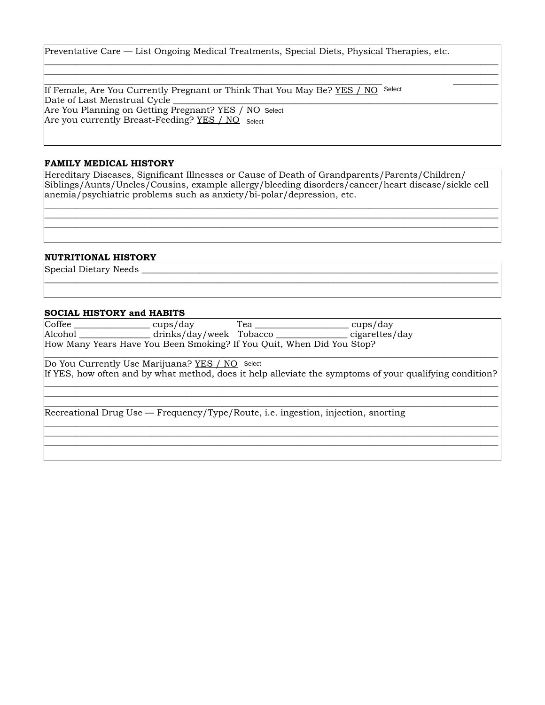Preventative Care — List Ongoing Medical Treatments, Special Diets, Physical Therapies, etc.

\_\_\_\_\_\_\_\_\_\_\_\_\_\_\_\_\_\_\_\_\_\_\_\_\_\_\_\_\_\_\_\_\_\_\_\_\_\_\_\_\_\_\_\_\_\_\_\_\_\_\_\_\_\_\_\_\_\_\_\_\_\_\_\_\_\_\_\_\_\_\_\_\_\_\_\_\_\_\_\_\_\_\_\_\_\_\_\_\_\_\_\_\_\_\_\_\_\_\_\_\_\_ \_\_\_\_\_\_\_\_\_\_\_\_\_\_\_\_\_\_\_\_\_\_\_\_\_\_\_\_\_\_\_\_\_\_\_\_\_\_\_\_\_\_\_\_\_\_\_\_\_\_\_\_\_\_\_\_\_\_\_\_\_\_\_\_\_\_\_\_\_\_\_\_\_\_\_\_\_\_\_\_\_\_\_\_\_\_\_\_\_\_\_\_\_\_\_\_\_\_\_\_\_\_

\_\_\_\_\_\_\_\_\_\_\_\_\_\_\_\_\_\_\_\_\_\_\_\_\_\_\_\_\_\_\_\_\_\_\_\_\_\_\_\_\_\_\_\_\_\_\_\_\_\_\_\_\_\_\_\_\_\_\_\_\_\_\_\_\_\_\_\_\_\_\_\_\_\_\_\_\_\_\_\_\_\_\_\_\_\_\_\_\_\_\_\_\_\_\_\_\_\_\_\_\_\_ If Female, Are You Currently Pregnant or Think That You May Be? <u>YES / NO</u> S<sup>elect</sup> Date of Last Menstrual Cycle Are You Planning on Getting Pregnant? YES / NO Select Are you currently Breast-Feeding? <u>YES / NO</u> select

#### **FAMILY MEDICAL HISTORY**

Hereditary Diseases, Significant Illnesses or Cause of Death of Grandparents/Parents/Children/ Siblings/Aunts/Uncles/Cousins, example allergy/bleeding disorders/cancer/heart disease/sickle cell anemia/psychiatric problems such as anxiety/bi-polar/depression, etc.

\_\_\_\_\_\_\_\_\_\_\_\_\_\_\_\_\_\_\_\_\_\_\_\_\_\_\_\_\_\_\_\_\_\_\_\_\_\_\_\_\_\_\_\_\_\_\_\_\_\_\_\_\_\_\_\_\_\_\_\_\_\_\_\_\_\_\_\_\_\_\_\_\_\_\_\_\_\_\_\_\_\_\_\_\_\_\_\_\_\_\_\_\_\_\_\_\_\_\_\_\_\_ \_\_\_\_\_\_\_\_\_\_\_\_\_\_\_\_\_\_\_\_\_\_\_\_\_\_\_\_\_\_\_\_\_\_\_\_\_\_\_\_\_\_\_\_\_\_\_\_\_\_\_\_\_\_\_\_\_\_\_\_\_\_\_\_\_\_\_\_\_\_\_\_\_\_\_\_\_\_\_\_\_\_\_\_\_\_\_\_\_\_\_\_\_\_\_\_\_\_\_\_\_\_ \_\_\_\_\_\_\_\_\_\_\_\_\_\_\_\_\_\_\_\_\_\_\_\_\_\_\_\_\_\_\_\_\_\_\_\_\_\_\_\_\_\_\_\_\_\_\_\_\_\_\_\_\_\_\_\_\_\_\_\_\_\_\_\_\_\_\_\_\_\_\_\_\_\_\_\_\_\_\_\_\_\_\_\_\_\_\_\_\_\_\_\_\_\_\_\_\_\_\_\_\_\_

\_\_\_\_\_\_\_\_\_\_\_\_\_\_\_\_\_\_\_\_\_\_\_\_\_\_\_\_\_\_\_\_\_\_\_\_\_\_\_\_\_\_\_\_\_\_\_\_\_\_\_\_\_\_\_\_\_\_\_\_\_\_\_\_\_\_\_\_\_\_\_\_\_\_\_\_\_\_\_\_\_\_\_\_\_\_\_\_\_\_\_\_\_\_\_\_\_\_\_\_\_\_

#### **NUTRITIONAL HISTORY**

Special Dietary Needs

#### **SOCIAL HISTORY and HABITS**

| Coffee _______________________ cups/day         | Tea | cups/day                                                                                                |
|-------------------------------------------------|-----|---------------------------------------------------------------------------------------------------------|
|                                                 |     | Alcohol ____________________drinks/day/week Tobacco ___________________cigarettes/day                   |
|                                                 |     | How Many Years Have You Been Smoking? If You Quit, When Did You Stop?                                   |
| Do You Currently Use Marijuana? YES / NO Select |     |                                                                                                         |
|                                                 |     | If YES, how often and by what method, does it help alleviate the symptoms of your qualifying condition? |
|                                                 |     |                                                                                                         |
|                                                 |     | Recreational Drug Use — Frequency/Type/Route, i.e. ingestion, injection, snorting                       |
|                                                 |     |                                                                                                         |
|                                                 |     |                                                                                                         |
|                                                 |     |                                                                                                         |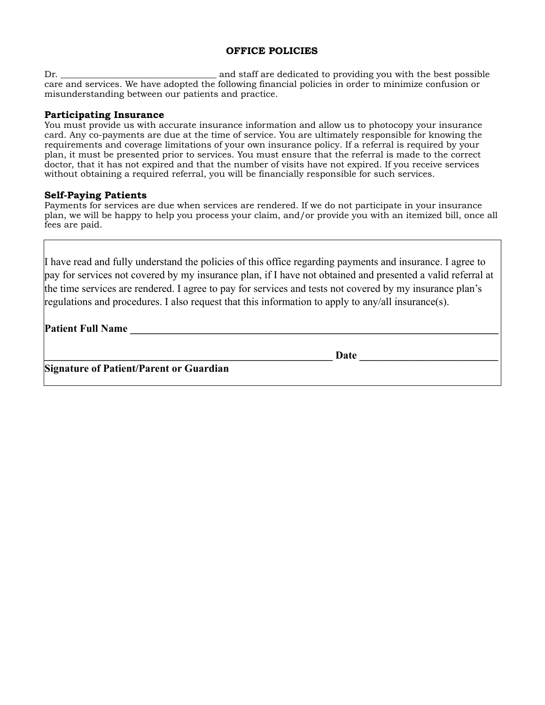#### **OFFICE POLICIES**

Dr. \_\_\_\_\_\_\_\_\_\_\_\_\_\_\_\_\_\_\_\_\_\_\_\_\_\_\_\_\_\_\_\_\_\_\_ and staff are dedicated to providing you with the best possible care and services. We have adopted the following financial policies in order to minimize confusion or misunderstanding between our patients and practice.

#### **Participating Insurance**

You must provide us with accurate insurance information and allow us to photocopy your insurance card. Any co-payments are due at the time of service. You are ultimately responsible for knowing the requirements and coverage limitations of your own insurance policy. If a referral is required by your plan, it must be presented prior to services. You must ensure that the referral is made to the correct doctor, that it has not expired and that the number of visits have not expired. If you receive services without obtaining a required referral, you will be financially responsible for such services.

#### **Self-Paying Patients**

Payments for services are due when services are rendered. If we do not participate in your insurance plan, we will be happy to help you process your claim, and/or provide you with an itemized bill, once all fees are paid.

I have read and fully understand the policies of this office regarding payments and insurance. I agree to pay for services not covered by my insurance plan, if I have not obtained and presented a valid referral at the time services are rendered. I agree to pay for services and tests not covered by my insurance plan's regulations and procedures. I also request that this information to apply to any/all insurance(s).

**Patient Full Name** 

Date **Date Letters** 

**Signature of Patient/Parent or Guardian**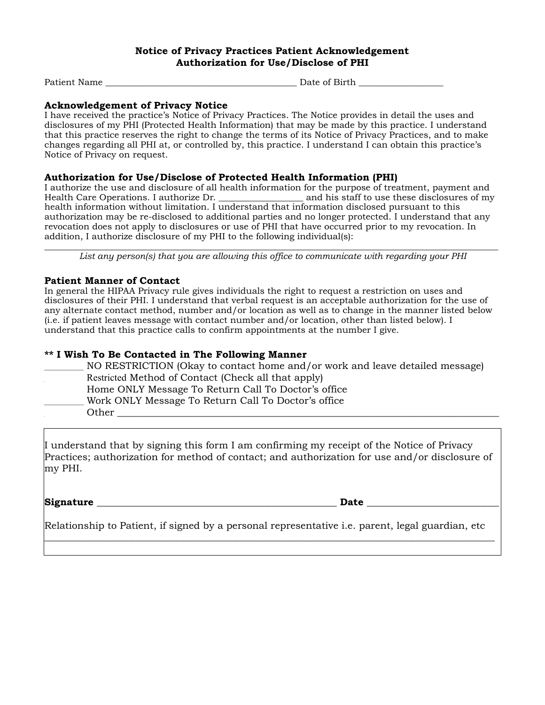#### **Notice of Privacy Practices Patient Acknowledgement Authorization for Use/Disclose of PHI**

Patient Name \_\_\_\_\_\_\_\_\_\_\_\_\_\_\_\_\_\_\_\_\_\_\_\_\_\_\_\_\_\_\_\_\_\_\_\_\_\_\_\_\_\_\_ Date of Birth \_\_\_\_\_\_\_\_\_\_\_\_\_\_\_\_\_\_\_

#### **Acknowledgement of Privacy Notice**

I have received the practice's Notice of Privacy Practices. The Notice provides in detail the uses and disclosures of my PHI (Protected Health Information) that may be made by this practice. I understand that this practice reserves the right to change the terms of its Notice of Privacy Practices, and to make changes regarding all PHI at, or controlled by, this practice. I understand I can obtain this practice's Notice of Privacy on request.

#### **Authorization for Use/Disclose of Protected Health Information (PHI)**

I authorize the use and disclosure of all health information for the purpose of treatment, payment and Health Care Operations. I authorize Dr. \_\_\_\_\_\_\_\_\_\_\_\_\_\_\_\_\_\_\_ and his staff to use these disclosures of my health information without limitation. I understand that information disclosed pursuant to this authorization may be re-disclosed to additional parties and no longer protected. I understand that any revocation does not apply to disclosures or use of PHI that have occurred prior to my revocation. In addition, I authorize disclosure of my PHI to the following individual(s):

\_\_\_\_\_\_\_\_\_\_\_\_\_\_\_\_\_\_\_\_\_\_\_\_\_\_\_\_\_\_\_\_\_\_\_\_\_\_\_\_\_\_\_\_\_\_\_\_\_\_\_\_\_\_\_\_\_\_\_\_\_\_\_\_\_\_\_\_\_\_\_\_\_\_\_\_\_\_\_\_\_\_\_\_\_\_\_\_\_\_\_\_\_\_\_\_\_\_\_\_\_\_ *List any person(s) that you are allowing this office to communicate with regarding your PHI*

#### **Patient Manner of Contact**

In general the HIPAA Privacy rule gives individuals the right to request a restriction on uses and disclosures of their PHI. I understand that verbal request is an acceptable authorization for the use of any alternate contact method, number and/or location as well as to change in the manner listed below (i.e. if patient leaves message with contact number and/or location, other than listed below). I understand that this practice calls to confirm appointments at the number I give.

#### **\*\* I Wish To Be Contacted in The Following Manner**

| NO RESTRICTION (Okay to contact home and/or work and leave detailed message) |
|------------------------------------------------------------------------------|
| Restricted Method of Contact (Check all that apply)                          |
| Home ONLY Message To Return Call To Doctor's office                          |
| Work ONLY Message To Return Call To Doctor's office                          |
| Other                                                                        |

I understand that by signing this form I am confirming my receipt of the Notice of Privacy Practices; authorization for method of contact; and authorization for use and/or disclosure of my PHI.

Signature **Executive Signature**  $\overline{D}$  at  $\overline{D}$  at  $\overline{D}$  at  $\overline{D}$  at  $\overline{D}$  at  $\overline{D}$  at  $\overline{D}$  at  $\overline{D}$  at  $\overline{D}$  at  $\overline{D}$  at  $\overline{D}$  at  $\overline{D}$  at  $\overline{D}$  at  $\overline{D}$  at  $\overline{D}$  at  $\overline{D}$  a

Relationship to Patient, if signed by a personal representative i.e. parent, legal guardian, etc \_\_\_\_\_\_\_\_\_\_\_\_\_\_\_\_\_\_\_\_\_\_\_\_\_\_\_\_\_\_\_\_\_\_\_\_\_\_\_\_\_\_\_\_\_\_\_\_\_\_\_\_\_\_\_\_\_\_\_\_\_\_\_\_\_\_\_\_\_\_\_\_\_\_\_\_\_\_\_\_\_\_\_\_\_\_\_\_\_\_\_\_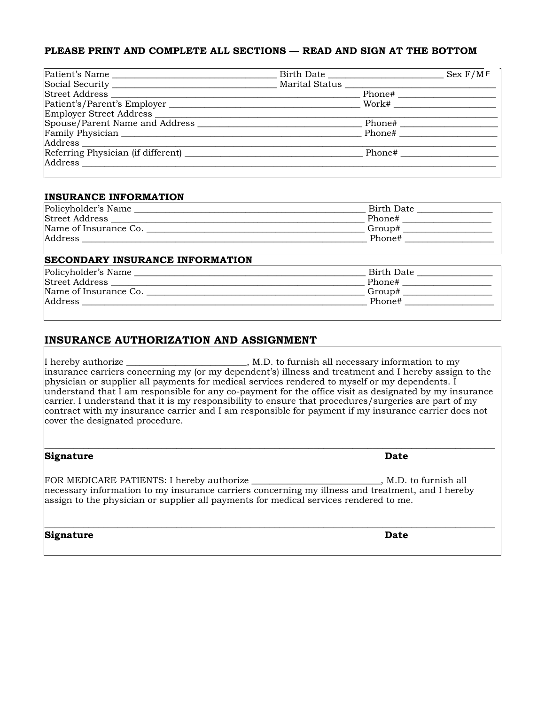#### **PLEASE PRINT AND COMPLETE ALL SECTIONS — READ AND SIGN AT THE BOTTOM**

| Patient's Name                                |                |               | Sex F/MF |
|-----------------------------------------------|----------------|---------------|----------|
|                                               | Marital Status |               |          |
| Street Address                                |                | Phone#        |          |
| Patient's/Parent's Employer                   |                | Work#         |          |
| Employer Street Address                       |                |               |          |
| Spouse/Parent Name and Address _________      |                | Phone# $\_\_$ |          |
| Family Physician                              |                | Phone#        |          |
| Address                                       |                |               |          |
| Referring Physician (if different) __________ |                | Phone#        |          |
| Address                                       |                |               |          |
|                                               |                |               |          |

#### **INSURANCE INFORMATION**

| Policyholder's Name   | Birth Date |
|-----------------------|------------|
| Street Address        | Phone#     |
| Name of Insurance Co. | Group#     |
| Address               | Phone#     |

#### **SECONDARY INSURANCE INFORMATION**

| Policyholder's Name   | Birth Date |
|-----------------------|------------|
| Street Address        | Phone#     |
| Name of Insurance Co. | Group#     |
| Address               | Phone#     |
|                       |            |

#### **INSURANCE AUTHORIZATION AND ASSIGNMENT**

I hereby authorize \_\_\_\_\_\_\_\_\_\_\_\_\_\_\_\_\_\_\_\_\_\_\_\_\_\_, M.D. to furnish all necessary information to my insurance carriers concerning my (or my dependent's) illness and treatment and I hereby assign to the physician or supplier all payments for medical services rendered to myself or my dependents. I understand that I am responsible for any co-payment for the office visit as designated by my insurance carrier. I understand that it is my responsibility to ensure that procedures/surgeries are part of my contract with my insurance carrier and I am responsible for payment if my insurance carrier does not cover the designated procedure.

**\_\_\_\_\_\_\_\_\_\_\_\_\_\_\_\_\_\_\_\_\_\_\_\_\_\_\_\_\_\_\_\_\_\_\_\_\_\_\_\_\_\_\_\_\_\_\_\_\_\_\_\_\_\_\_\_\_\_\_\_\_\_\_\_\_\_\_\_\_\_\_\_\_\_\_\_\_\_\_\_\_\_\_\_\_\_\_\_\_\_\_\_**

| Signature                                                                                                                                                                                 | Date                  |
|-------------------------------------------------------------------------------------------------------------------------------------------------------------------------------------------|-----------------------|
| necessary information to my insurance carriers concerning my illness and treatment, and I hereby<br>assign to the physician or supplier all payments for medical services rendered to me. | , M.D. to furnish all |
| Signature                                                                                                                                                                                 | <b>Date</b>           |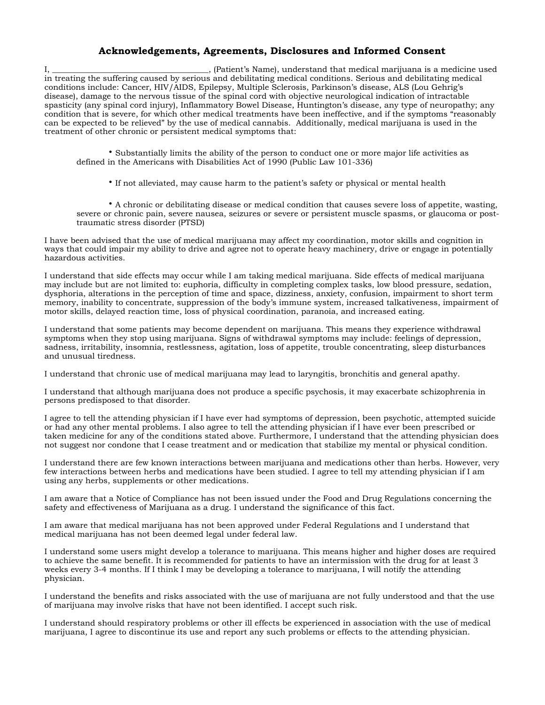#### **Acknowledgements, Agreements, Disclosures and Informed Consent**

I, \_\_\_\_\_\_\_\_\_\_\_\_\_\_\_\_\_\_\_\_\_\_\_\_\_\_\_\_\_\_\_\_\_\_\_\_\_\_\_, (Patient's Name), understand that medical marijuana is a medicine used in treating the suffering caused by serious and debilitating medical conditions. Serious and debilitating medical conditions include: Cancer, HIV/AIDS, Epilepsy, Multiple Sclerosis, Parkinson's disease, ALS (Lou Gehrig's disease), damage to the nervous tissue of the spinal cord with objective neurological indication of intractable spasticity (any spinal cord injury), Inflammatory Bowel Disease, Huntington's disease, any type of neuropathy; any condition that is severe, for which other medical treatments have been ineffective, and if the symptoms "reasonably can be expected to be relieved" by the use of medical cannabis. Additionally, medical marijuana is used in the treatment of other chronic or persistent medical symptoms that:

• Substantially limits the ability of the person to conduct one or more major life activities as defined in the Americans with Disabilities Act of 1990 (Public Law 101-336)

• If not alleviated, may cause harm to the patient's safety or physical or mental health

• A chronic or debilitating disease or medical condition that causes severe loss of appetite, wasting, severe or chronic pain, severe nausea, seizures or severe or persistent muscle spasms, or glaucoma or posttraumatic stress disorder (PTSD)

I have been advised that the use of medical marijuana may affect my coordination, motor skills and cognition in ways that could impair my ability to drive and agree not to operate heavy machinery, drive or engage in potentially hazardous activities.

I understand that side effects may occur while I am taking medical marijuana. Side effects of medical marijuana may include but are not limited to: euphoria, difficulty in completing complex tasks, low blood pressure, sedation, dysphoria, alterations in the perception of time and space, dizziness, anxiety, confusion, impairment to short term memory, inability to concentrate, suppression of the body's immune system, increased talkativeness, impairment of motor skills, delayed reaction time, loss of physical coordination, paranoia, and increased eating.

I understand that some patients may become dependent on marijuana. This means they experience withdrawal symptoms when they stop using marijuana. Signs of withdrawal symptoms may include: feelings of depression, sadness, irritability, insomnia, restlessness, agitation, loss of appetite, trouble concentrating, sleep disturbances and unusual tiredness.

I understand that chronic use of medical marijuana may lead to laryngitis, bronchitis and general apathy.

I understand that although marijuana does not produce a specific psychosis, it may exacerbate schizophrenia in persons predisposed to that disorder.

I agree to tell the attending physician if I have ever had symptoms of depression, been psychotic, attempted suicide or had any other mental problems. I also agree to tell the attending physician if I have ever been prescribed or taken medicine for any of the conditions stated above. Furthermore, I understand that the attending physician does not suggest nor condone that I cease treatment and or medication that stabilize my mental or physical condition.

I understand there are few known interactions between marijuana and medications other than herbs. However, very few interactions between herbs and medications have been studied. I agree to tell my attending physician if I am using any herbs, supplements or other medications.

I am aware that a Notice of Compliance has not been issued under the Food and Drug Regulations concerning the safety and effectiveness of Marijuana as a drug. I understand the significance of this fact.

I am aware that medical marijuana has not been approved under Federal Regulations and I understand that medical marijuana has not been deemed legal under federal law.

I understand some users might develop a tolerance to marijuana. This means higher and higher doses are required to achieve the same benefit. It is recommended for patients to have an intermission with the drug for at least 3 weeks every 3-4 months. If I think I may be developing a tolerance to marijuana, I will notify the attending physician.

I understand the benefits and risks associated with the use of marijuana are not fully understood and that the use of marijuana may involve risks that have not been identified. I accept such risk.

I understand should respiratory problems or other ill effects be experienced in association with the use of medical marijuana, I agree to discontinue its use and report any such problems or effects to the attending physician.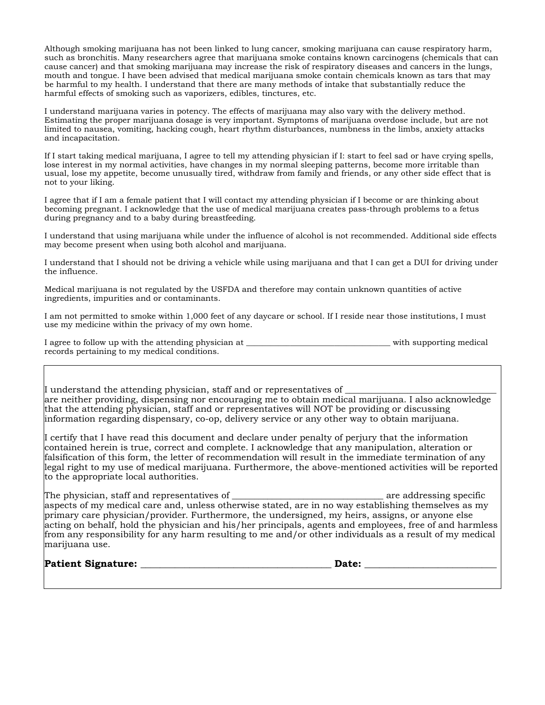Although smoking marijuana has not been linked to lung cancer, smoking marijuana can cause respiratory harm, such as bronchitis. Many researchers agree that marijuana smoke contains known carcinogens (chemicals that can cause cancer) and that smoking marijuana may increase the risk of respiratory diseases and cancers in the lungs, mouth and tongue. I have been advised that medical marijuana smoke contain chemicals known as tars that may be harmful to my health. I understand that there are many methods of intake that substantially reduce the harmful effects of smoking such as vaporizers, edibles, tinctures, etc.

I understand marijuana varies in potency. The effects of marijuana may also vary with the delivery method. Estimating the proper marijuana dosage is very important. Symptoms of marijuana overdose include, but are not limited to nausea, vomiting, hacking cough, heart rhythm disturbances, numbness in the limbs, anxiety attacks and incapacitation.

If I start taking medical marijuana, I agree to tell my attending physician if I: start to feel sad or have crying spells, lose interest in my normal activities, have changes in my normal sleeping patterns, become more irritable than usual, lose my appetite, become unusually tired, withdraw from family and friends, or any other side effect that is not to your liking.

I agree that if I am a female patient that I will contact my attending physician if I become or are thinking about becoming pregnant. I acknowledge that the use of medical marijuana creates pass-through problems to a fetus during pregnancy and to a baby during breastfeeding.

I understand that using marijuana while under the influence of alcohol is not recommended. Additional side effects may become present when using both alcohol and marijuana.

I understand that I should not be driving a vehicle while using marijuana and that I can get a DUI for driving under the influence.

Medical marijuana is not regulated by the USFDA and therefore may contain unknown quantities of active ingredients, impurities and or contaminants.

I am not permitted to smoke within 1,000 feet of any daycare or school. If I reside near those institutions, I must use my medicine within the privacy of my own home.

| I agree to follow up with the attending physician at | with supporting medical |
|------------------------------------------------------|-------------------------|
| records pertaining to my medical conditions.         |                         |

I understand the attending physician, staff and or representatives of are neither providing, dispensing nor encouraging me to obtain medical marijuana. I also acknowledge that the attending physician, staff and or representatives will NOT be providing or discussing information regarding dispensary, co-op, delivery service or any other way to obtain marijuana.

I certify that I have read this document and declare under penalty of perjury that the information contained herein is true, correct and complete. I acknowledge that any manipulation, alteration or falsification of this form, the letter of recommendation will result in the immediate termination of any legal right to my use of medical marijuana. Furthermore, the above-mentioned activities will be reported to the appropriate local authorities.

The physician, staff and representatives of \_\_\_\_\_\_\_\_\_\_\_\_\_\_\_\_\_\_\_\_\_\_\_\_\_\_\_\_\_\_\_\_\_\_ are addressing specific aspects of my medical care and, unless otherwise stated, are in no way establishing themselves as my primary care physician/provider. Furthermore, the undersigned, my heirs, assigns, or anyone else acting on behalf, hold the physician and his/her principals, agents and employees, free of and harmless from any responsibility for any harm resulting to me and/or other individuals as a result of my medical marijuana use.

**Patient Signature:**  $\blacksquare$ 

| <br>×<br>۰.<br>۰, |
|-------------------|
|-------------------|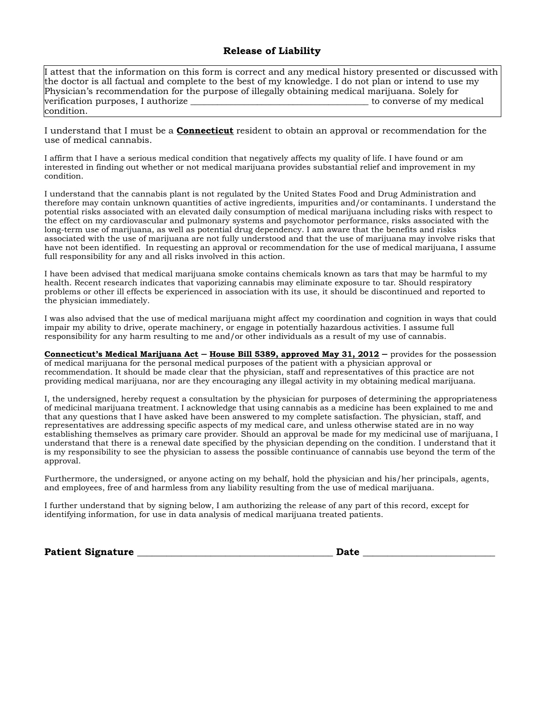#### **Release of Liability**

I attest that the information on this form is correct and any medical history presented or discussed with the doctor is all factual and complete to the best of my knowledge. I do not plan or intend to use my Physician's recommendation for the purpose of illegally obtaining medical marijuana. Solely for verification purposes, I authorize the set of my medical series of my medical verification purposes, I authorize condition.

I understand that I must be a **Connecticut** resident to obtain an approval or recommendation for the use of medical cannabis.

I affirm that I have a serious medical condition that negatively affects my quality of life. I have found or am interested in finding out whether or not medical marijuana provides substantial relief and improvement in my condition.

I understand that the cannabis plant is not regulated by the United States Food and Drug Administration and therefore may contain unknown quantities of active ingredients, impurities and/or contaminants. I understand the potential risks associated with an elevated daily consumption of medical marijuana including risks with respect to the effect on my cardiovascular and pulmonary systems and psychomotor performance, risks associated with the long-term use of marijuana, as well as potential drug dependency. I am aware that the benefits and risks associated with the use of marijuana are not fully understood and that the use of marijuana may involve risks that have not been identified. In requesting an approval or recommendation for the use of medical marijuana, I assume full responsibility for any and all risks involved in this action.

I have been advised that medical marijuana smoke contains chemicals known as tars that may be harmful to my health. Recent research indicates that vaporizing cannabis may eliminate exposure to tar. Should respiratory problems or other ill effects be experienced in association with its use, it should be discontinued and reported to the physician immediately.

I was also advised that the use of medical marijuana might affect my coordination and cognition in ways that could impair my ability to drive, operate machinery, or engage in potentially hazardous activities. I assume full responsibility for any harm resulting to me and/or other individuals as a result of my use of cannabis.

**Connecticut's Medical Marijuana Act – House Bill 5389, approved May 31, 2012 – provides for the possession** of medical marijuana for the personal medical purposes of the patient with a physician approval or recommendation. It should be made clear that the physician, staff and representatives of this practice are not providing medical marijuana, nor are they encouraging any illegal activity in my obtaining medical marijuana.

I, the undersigned, hereby request a consultation by the physician for purposes of determining the appropriateness of medicinal marijuana treatment. I acknowledge that using cannabis as a medicine has been explained to me and that any questions that I have asked have been answered to my complete satisfaction. The physician, staff, and representatives are addressing specific aspects of my medical care, and unless otherwise stated are in no way establishing themselves as primary care provider. Should an approval be made for my medicinal use of marijuana, I understand that there is a renewal date specified by the physician depending on the condition. I understand that it is my responsibility to see the physician to assess the possible continuance of cannabis use beyond the term of the approval.

Furthermore, the undersigned, or anyone acting on my behalf, hold the physician and his/her principals, agents, and employees, free of and harmless from any liability resulting from the use of medical marijuana.

I further understand that by signing below, I am authorizing the release of any part of this record, except for identifying information, for use in data analysis of medical marijuana treated patients.

**Patient Signature \_\_\_\_\_\_\_\_\_\_\_\_\_\_\_\_\_\_\_\_\_\_\_\_\_\_\_\_\_\_\_\_\_\_\_\_\_\_\_\_ Date** \_\_\_\_\_\_\_\_\_\_\_\_\_\_\_\_\_\_\_\_\_\_\_\_\_\_\_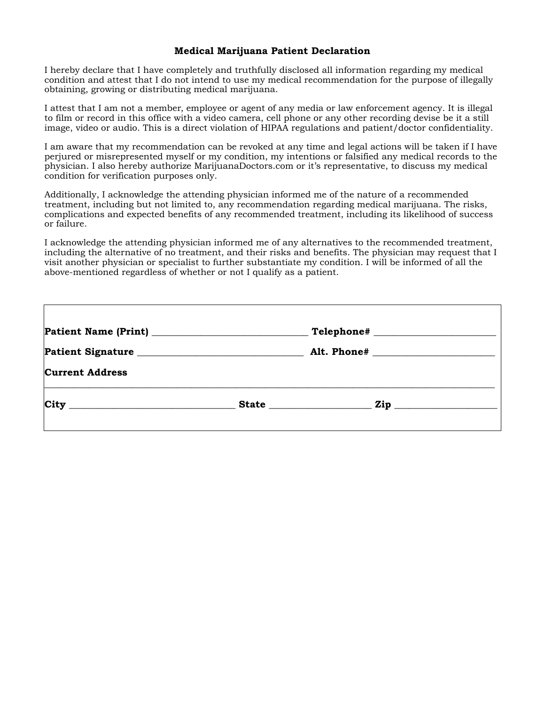#### **Medical Marijuana Patient Declaration**

I hereby declare that I have completely and truthfully disclosed all information regarding my medical condition and attest that I do not intend to use my medical recommendation for the purpose of illegally obtaining, growing or distributing medical marijuana.

I attest that I am not a member, employee or agent of any media or law enforcement agency. It is illegal to film or record in this office with a video camera, cell phone or any other recording devise be it a still image, video or audio. This is a direct violation of HIPAA regulations and patient/doctor confidentiality.

I am aware that my recommendation can be revoked at any time and legal actions will be taken if I have perjured or misrepresented myself or my condition, my intentions or falsified any medical records to the physician. I also hereby authorize MarijuanaDoctors.com or it's representative, to discuss my medical condition for verification purposes only.

Additionally, I acknowledge the attending physician informed me of the nature of a recommended treatment, including but not limited to, any recommendation regarding medical marijuana. The risks, complications and expected benefits of any recommended treatment, including its likelihood of success or failure.

I acknowledge the attending physician informed me of any alternatives to the recommended treatment, including the alternative of no treatment, and their risks and benefits. The physician may request that I visit another physician or specialist to further substantiate my condition. I will be informed of all the above-mentioned regardless of whether or not I qualify as a patient.

| $\begin{tabular}{ c c c } \hline \textbf{Telephone}\# & \textbf{\textcolor{red}{\textbf{m}}\textcolor{blue}{\textbf{m}}\textcolor{blue}{\textbf{m}}\textcolor{blue}{\textbf{m}}\textcolor{blue}{\textbf{m}}\textcolor{blue}{\textbf{m}}\textcolor{blue}{\textbf{m}}\textcolor{blue}{\textbf{m}}\textcolor{blue}{\textbf{m}}\textcolor{blue}{\textbf{m}}\textcolor{blue}{\textbf{m}}\textcolor{blue}{\textbf{m}}\textcolor{blue}{\textbf{m}}\textcolor{blue}{\textbf{m}}\textcolor{blue}{\textbf{m}}\textcolor{blue}{\textbf{m$ |                   |
|--------------------------------------------------------------------------------------------------------------------------------------------------------------------------------------------------------------------------------------------------------------------------------------------------------------------------------------------------------------------------------------------------------------------------------------------------------------------------------------------------------------------------------|-------------------|
|                                                                                                                                                                                                                                                                                                                                                                                                                                                                                                                                |                   |
|                                                                                                                                                                                                                                                                                                                                                                                                                                                                                                                                |                   |
|                                                                                                                                                                                                                                                                                                                                                                                                                                                                                                                                | $\mathbf{Zip}$    |
|                                                                                                                                                                                                                                                                                                                                                                                                                                                                                                                                | Patient Signature |